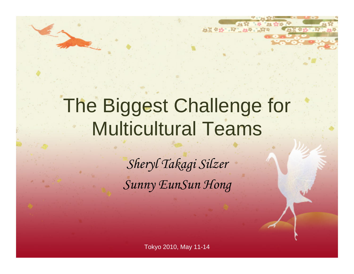# The Biggest Challenge for Multicultural Teams

23.22 4:35 1.72 1.254 1.35

*Sheryl Takagi Silzer Sunny EunSun Hong*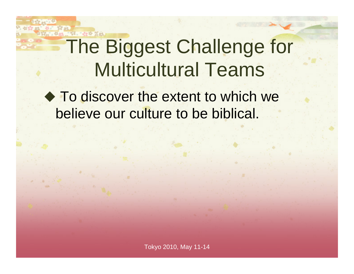# The Biggest Challenge for Multicultural Teams

**To discover the extent to which we** believe our culture to be biblical.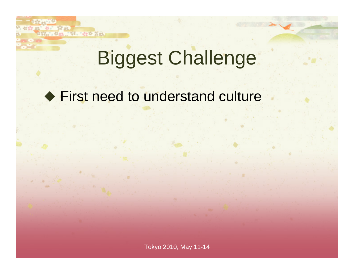# Biggest Challenge

#### ◆ First need to understand culture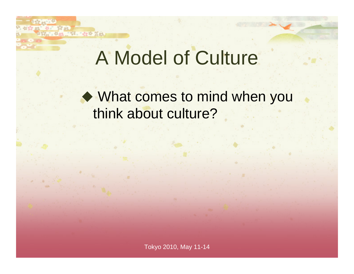#### A Model of Culture

#### What comes to mind when you think about culture?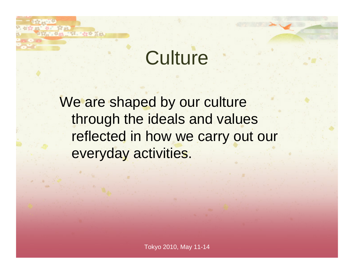# **Culture**

We are shaped by our culture through the ideals and values reflected in how we carry out our everyday activities.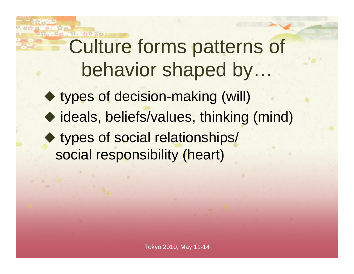# Culture forms patterns of behavior shaped by... ◆ types of decision-making (will) ◆ ideals, beliefs/values, thinking (mind) ◆ types of social relationships/

social responsibility (heart)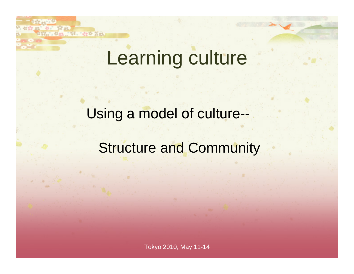# Learning culture

#### Using a model of culture--

#### Structure and Community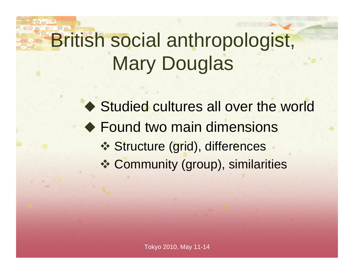# British social anthropologist, Mary Douglas

◆ Studied cultures all over the world ◆ Found two main dimensions **❖ Structure (grid), differences** Community (group), similarities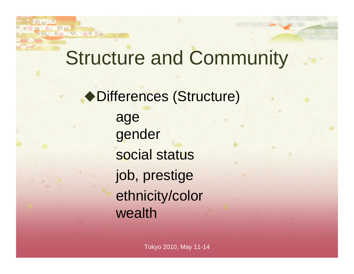#### Structure and Community

Differences (Structure) age gender social status job, prestige ethnicity/color wealth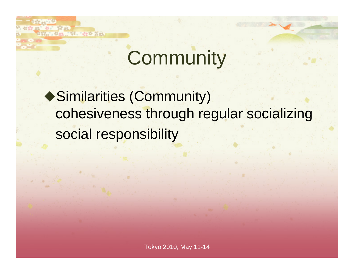#### **Community**

Similarities (Community) cohesiveness through regular socializing social responsibility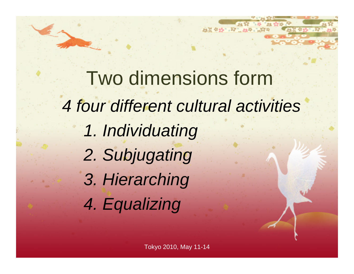Two dimensions form*4 four different cultural activities 1. Individuating 2. Subjugating 3. Hierarching 4. Equalizing*

23.22 4:35 1.72 1.254 1.35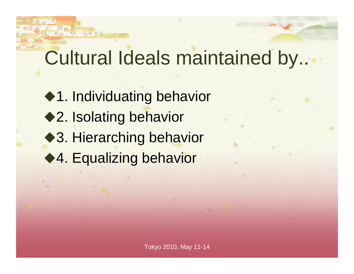### Cultural Ideals maintained by..

- ◆1. Individuating behavior ◆2. Isolating behavior ◆3. Hierarching behavior
- ◆4. Equalizing behavior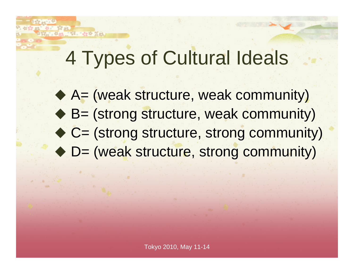# 4 Types of Cultural Ideals

- ◆ A= (weak structure, weak community)
- ◆ B= (strong structure, weak community)
- ◆ C= (strong structure, strong community)
- ◆ D= (weak structure, strong community)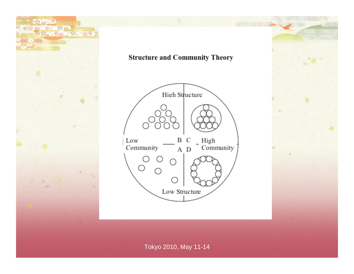



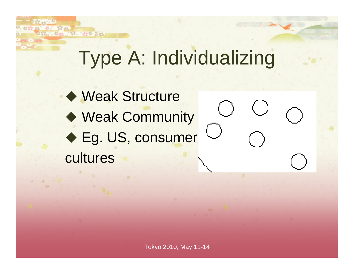# Type A: Individualizing

◆ Weak Structure ◆ Weak Community ◆ Eg. US, consumer cultures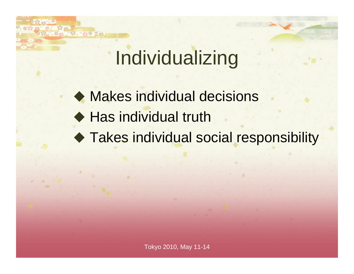# Individualizing

 Makes individual decisions ◆ Has individual truth Takes individual social responsibility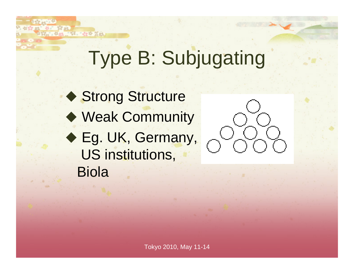# Type B: Subjugating

◆ Strong Structure ◆ Weak Community ◆ Eg. UK, Germany, US institutions, Biola

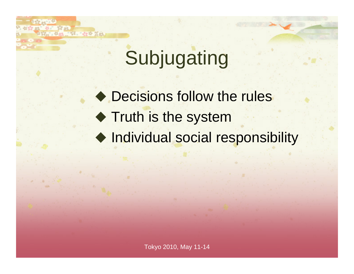# Subjugating

◆ Decisions follow the rules **Truth is the system** ◆ Individual social responsibility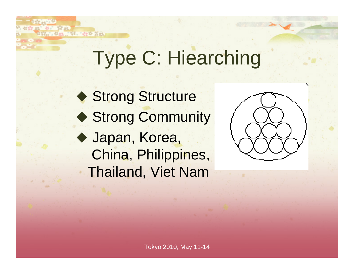# Type C: Hiearching

◆ Strong Structure ◆ Strong Community Japan, Korea, China, Philippines, Thailand, Viet Nam

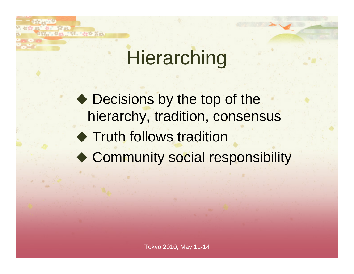### **Hierarching**

◆ Decisions by the top of the hierarchy, tradition, consensus ◆ Truth follows tradition ◆ Community social responsibility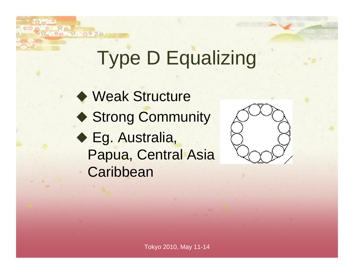# Type D Equalizing

 Weak Structure ◆ Strong Community ◆ Eg. Australia, Papua, Central Asia **Caribbean** 

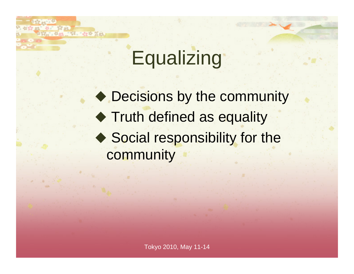# **Equalizing**

◆ Decisions by the community **Truth defined as equality** ◆ Social responsibility for the community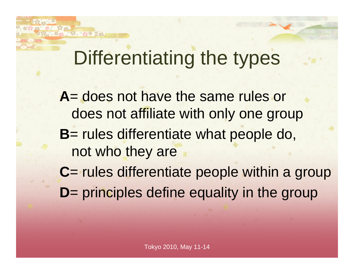#### Differentiating the types

**A**= does not have the same rules or does not affiliate with only one group **B**= rules differentiate what people do, not who they are **C**= rules differentiate people within a group **D**= principles define equality in the group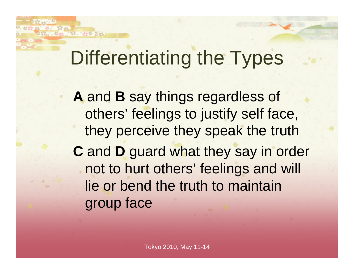#### Differentiating the Types

**A** and **B** say things regardless of others' feelings to justify self face, they perceive they speak the truth **C** and **D** guard what they say in order not to hurt others' feelings and will lie or bend the truth to maintain group face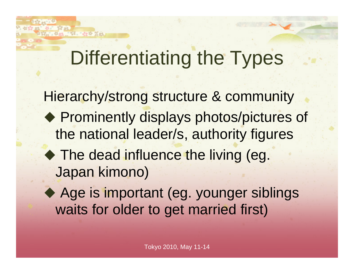#### Differentiating the Types

Hierarchy/strong structure & community ◆ Prominently displays photos/pictures of the national leader/s, authority figures ◆ The dead influence the living (eg. Japan kimono)

◆ Age is important (eg. younger siblings waits for older to get married first)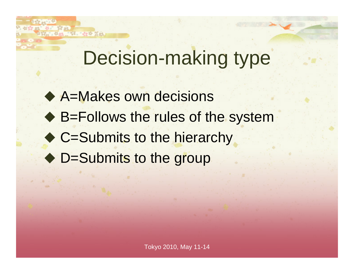#### Decision-making type

◆ A=Makes own decisions ◆ B=Follows the rules of the system ◆ C=Submits to the hierarchy ◆ D=Submits to the group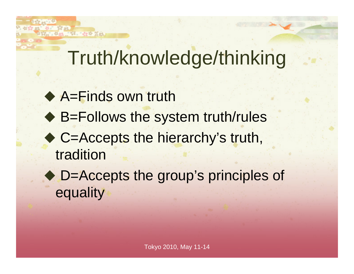# Truth/knowledge/thinking

◆ A=Finds own truth

St. 12eth Nati

- ◆ B=Follows the system truth/rules
- ◆ C=Accepts the hierarchy's truth, tradition
- ◆ D=Accepts the group's principles of equality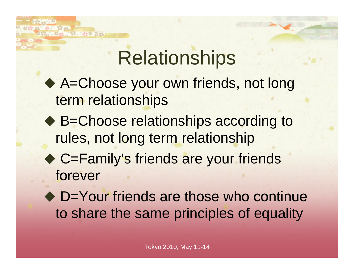# **Relationships**

- ◆ A=Choose your own friends, not long term relationships
- ◆ B=Choose relationships according to rules, not long term relationship
- ◆ C=Family's friends are your friends forever
- ◆ D=Your friends are those who continue to share the same principles of equality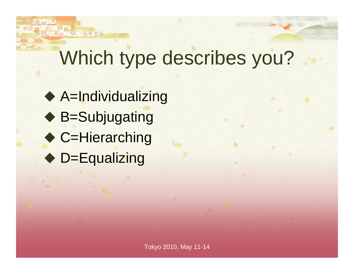## Which type describes you?

 A=Individualizing ◆ B=Subjugating ◆ C=Hierarching ◆ D=Equalizing

ST. Harry War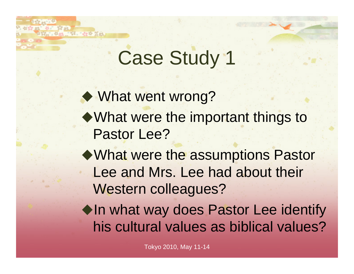## Case Study 1

◆ What went wrong? What were the important things to Pastor Lee?

What were the assumptions Pastor Lee and Mrs. Lee had about their Western colleagues?

 $\blacklozenge$  In what way does Pastor Lee identify his cultural values as biblical values?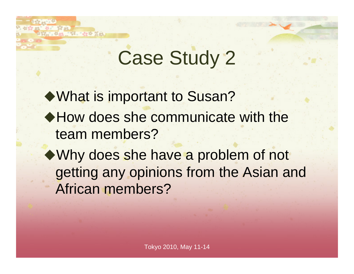# Case Study 2

What is important to Susan? ◆ How does she communicate with the team members?

Why does she have a problem of not getting any opinions from the Asian and African members?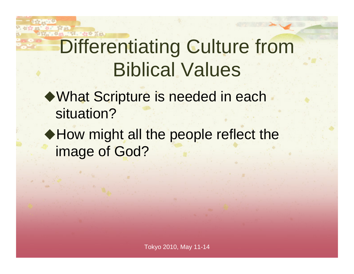## Differentiating Culture from Biblical Values

- What Scripture is needed in each situation?
- ◆ How might all the people reflect the image of God?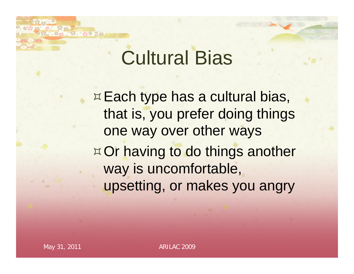### Cultural Bias

**Each type has a cultural bias,** that is, you prefer doing things one way over other ways ¤ Or having to do things another way is uncomfortable, upsetting, or makes you angry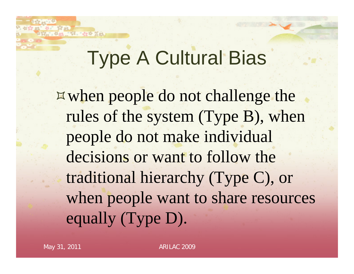## Type A Cultural Bias

when people do not challenge the rules of the system (Type B), when people do not make individual decisions or want to follow the traditional hierarchy (Type C), or when people want to share resources equally (Type D).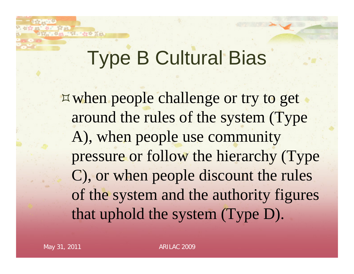### Type B Cultural Bias

when people challenge or try to get around the rules of the system (Type A), when people use community pressure or follow the hierarchy (Type C), or when people discount the rules of the system and the authority figures that uphold the system (Type D).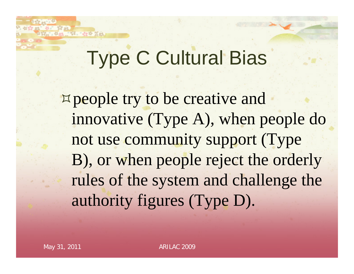### Type C Cultural Bias

**¤ people try to be creative and** innovative (Type A), when people do not use community support (Type B), or when people reject the orderly rules of the system and challenge the authority figures (Type D).